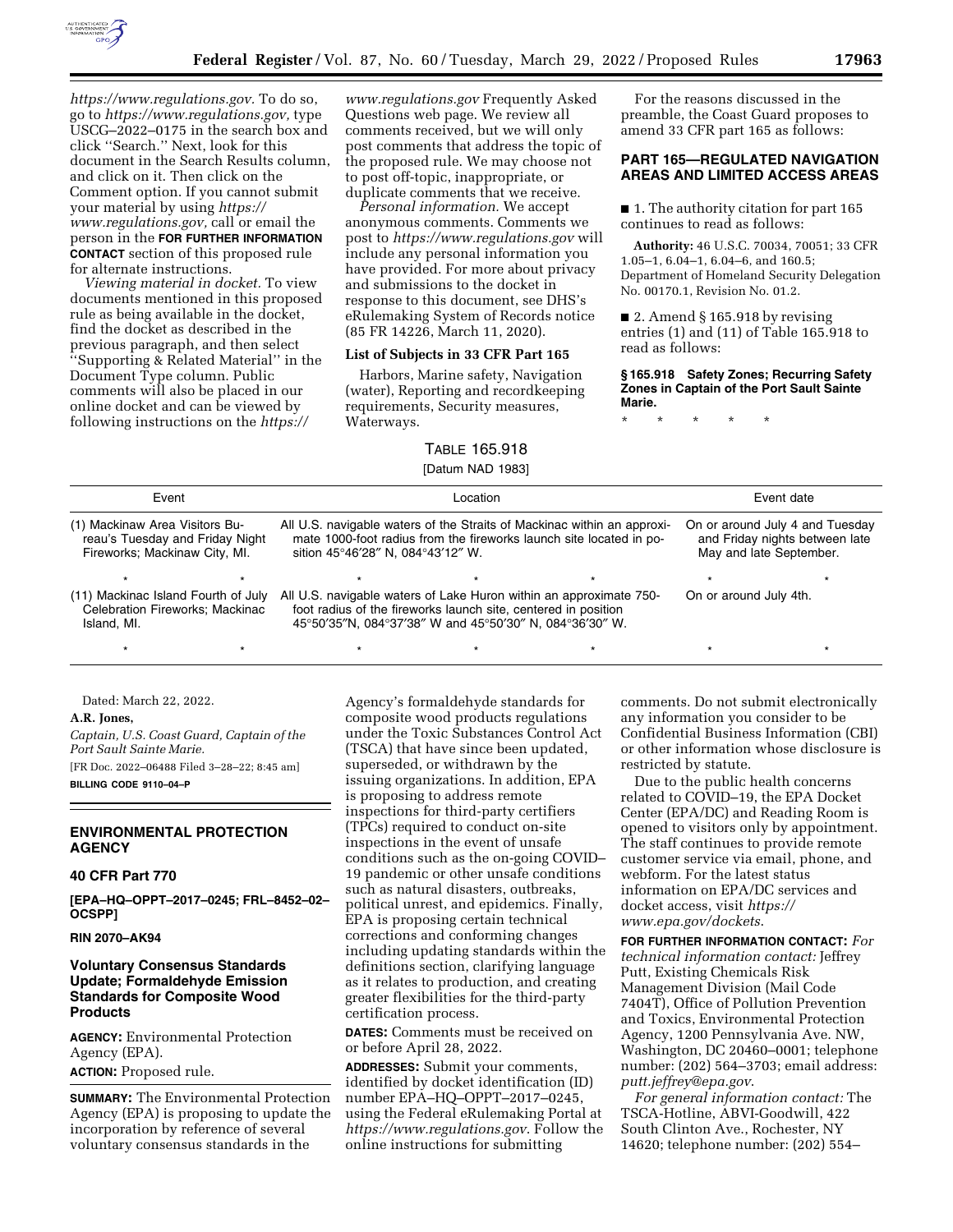

*[https://www.regulations.gov.](https://www.regulations.gov)* To do so, go to *[https://www.regulations.gov,](https://www.regulations.gov)* type USCG–2022–0175 in the search box and click ''Search.'' Next, look for this document in the Search Results column, and click on it. Then click on the Comment option. If you cannot submit your material by using *[https://](https://www.regulations.gov) [www.regulations.gov,](https://www.regulations.gov)* call or email the person in the **FOR FURTHER INFORMATION CONTACT** section of this proposed rule for alternate instructions.

*Viewing material in docket.* To view documents mentioned in this proposed rule as being available in the docket, find the docket as described in the previous paragraph, and then select ''Supporting & Related Material'' in the Document Type column. Public comments will also be placed in our online docket and can be viewed by following instructions on the *[https://](https://www.regulations.gov)*

*[www.regulations.gov](https://www.regulations.gov)* Frequently Asked Questions web page. We review all comments received, but we will only post comments that address the topic of the proposed rule. We may choose not to post off-topic, inappropriate, or duplicate comments that we receive.

*Personal information.* We accept anonymous comments. Comments we post to *<https://www.regulations.gov>*will include any personal information you have provided. For more about privacy and submissions to the docket in response to this document, see DHS's eRulemaking System of Records notice (85 FR 14226, March 11, 2020).

# **List of Subjects in 33 CFR Part 165**

Harbors, Marine safety, Navigation (water), Reporting and recordkeeping requirements, Security measures, Waterways.

### TABLE 165.918

### [Datum NAD 1983]

For the reasons discussed in the preamble, the Coast Guard proposes to amend 33 CFR part 165 as follows:

## **PART 165—REGULATED NAVIGATION AREAS AND LIMITED ACCESS AREAS**

■ 1. The authority citation for part 165 continues to read as follows:

**Authority:** 46 U.S.C. 70034, 70051; 33 CFR 1.05–1, 6.04–1, 6.04–6, and 160.5; Department of Homeland Security Delegation No. 00170.1, Revision No. 01.2.

■ 2. Amend § 165.918 by revising entries (1) and (11) of Table 165.918 to read as follows:

**§ 165.918 Safety Zones; Recurring Safety Zones in Captain of the Port Sault Sainte Marie.** 

\* \* \* \* \*

| Event<br>(1) Mackinaw Area Visitors Bu-<br>reau's Tuesday and Friday Night<br>Fireworks; Mackinaw City, MI. |  | Location<br>All U.S. navigable waters of the Straits of Mackinac within an approxi-<br>mate 1000-foot radius from the fireworks launch site located in po-<br>sition 45°46'28" N, 084°43'12" W. |  |  | Event date<br>On or around July 4 and Tuesday<br>and Friday nights between late<br>May and late September. |  |
|-------------------------------------------------------------------------------------------------------------|--|-------------------------------------------------------------------------------------------------------------------------------------------------------------------------------------------------|--|--|------------------------------------------------------------------------------------------------------------|--|
|                                                                                                             |  |                                                                                                                                                                                                 |  |  |                                                                                                            |  |
| Celebration Fireworks; Mackinac<br>Island, MI.                                                              |  | foot radius of the fireworks launch site, centered in position<br>45°50'35"N, 084°37'38" W and 45°50'30" N, 084°36'30" W.                                                                       |  |  |                                                                                                            |  |
|                                                                                                             |  |                                                                                                                                                                                                 |  |  |                                                                                                            |  |

Dated: March 22, 2022.

**A.R. Jones,** 

*Captain, U.S. Coast Guard, Captain of the Port Sault Sainte Marie.*  [FR Doc. 2022–06488 Filed 3–28–22; 8:45 am] **BILLING CODE 9110–04–P** 

## **ENVIRONMENTAL PROTECTION AGENCY**

# **40 CFR Part 770**

**[EPA–HQ–OPPT–2017–0245; FRL–8452–02– OCSPP]** 

# **RIN 2070–AK94**

# **Voluntary Consensus Standards Update; Formaldehyde Emission Standards for Composite Wood Products**

**AGENCY:** Environmental Protection Agency (EPA).

# **ACTION:** Proposed rule.

**SUMMARY:** The Environmental Protection Agency (EPA) is proposing to update the incorporation by reference of several voluntary consensus standards in the

Agency's formaldehyde standards for composite wood products regulations under the Toxic Substances Control Act (TSCA) that have since been updated, superseded, or withdrawn by the issuing organizations. In addition, EPA is proposing to address remote inspections for third-party certifiers (TPCs) required to conduct on-site inspections in the event of unsafe conditions such as the on-going COVID– 19 pandemic or other unsafe conditions such as natural disasters, outbreaks, political unrest, and epidemics. Finally, EPA is proposing certain technical corrections and conforming changes including updating standards within the definitions section, clarifying language as it relates to production, and creating greater flexibilities for the third-party certification process.

**DATES:** Comments must be received on or before April 28, 2022.

**ADDRESSES:** Submit your comments, identified by docket identification (ID) number EPA–HQ–OPPT–2017–0245, using the Federal eRulemaking Portal at *<https://www.regulations.gov>*. Follow the online instructions for submitting

comments. Do not submit electronically any information you consider to be Confidential Business Information (CBI) or other information whose disclosure is restricted by statute.

Due to the public health concerns related to COVID–19, the EPA Docket Center (EPA/DC) and Reading Room is opened to visitors only by appointment. The staff continues to provide remote customer service via email, phone, and webform. For the latest status information on EPA/DC services and docket access, visit *[https://](https://www.epa.gov/dockets) [www.epa.gov/dockets](https://www.epa.gov/dockets)*.

**FOR FURTHER INFORMATION CONTACT:** *For technical information contact:* Jeffrey Putt, Existing Chemicals Risk Management Division (Mail Code 7404T), Office of Pollution Prevention and Toxics, Environmental Protection Agency, 1200 Pennsylvania Ave. NW, Washington, DC 20460–0001; telephone number: (202) 564–3703; email address: *[putt.jeffrey@epa.gov](mailto:putt.jeffrey@epa.gov)*.

*For general information contact:* The TSCA-Hotline, ABVI-Goodwill, 422 South Clinton Ave., Rochester, NY 14620; telephone number: (202) 554–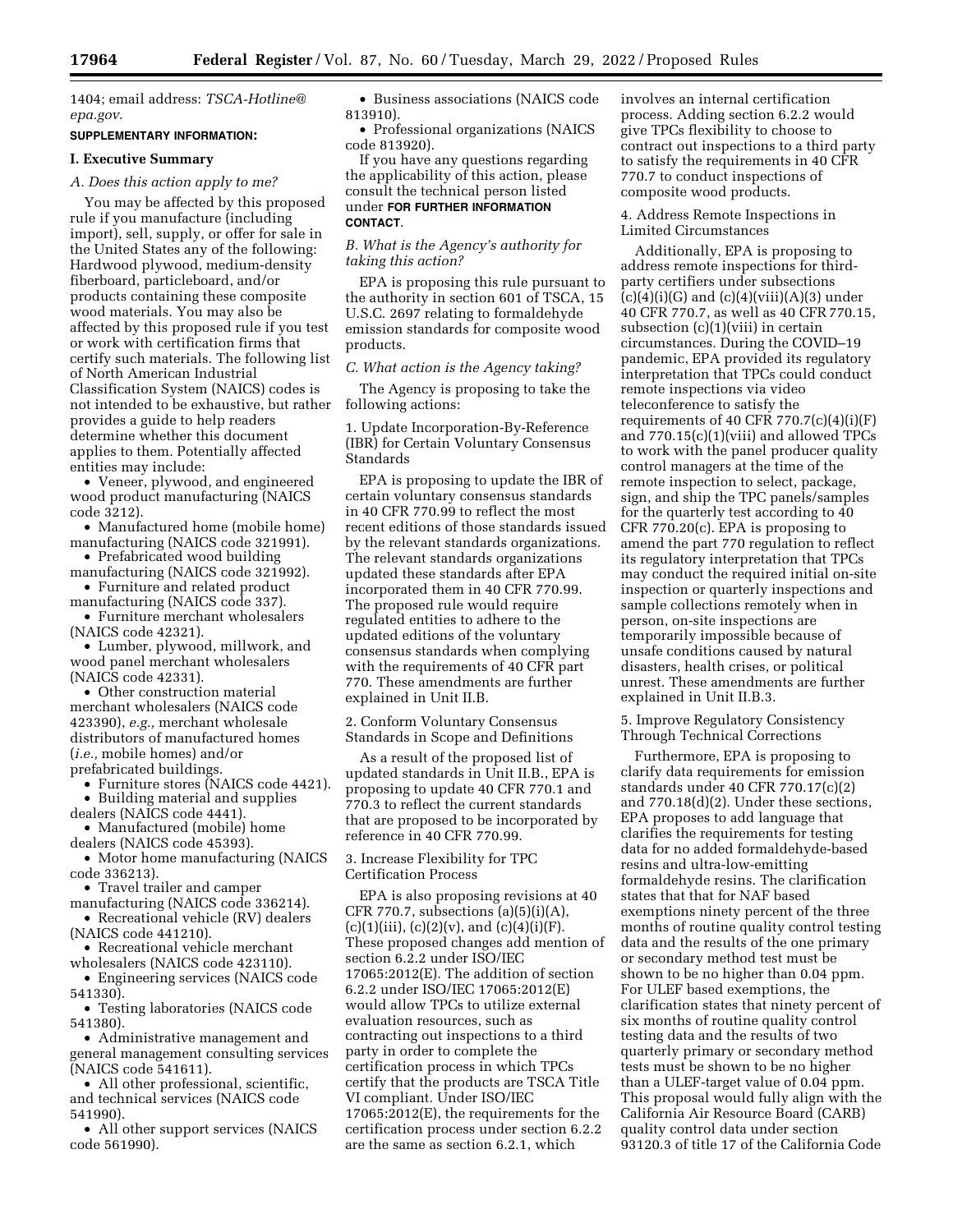1404; email address: *[TSCA-Hotline@](mailto:TSCA-Hotline@epa.gov) [epa.gov](mailto:TSCA-Hotline@epa.gov)*.

### **SUPPLEMENTARY INFORMATION:**

#### **I. Executive Summary**

### *A. Does this action apply to me?*

You may be affected by this proposed rule if you manufacture (including import), sell, supply, or offer for sale in the United States any of the following: Hardwood plywood, medium-density fiberboard, particleboard, and/or products containing these composite wood materials. You may also be affected by this proposed rule if you test or work with certification firms that certify such materials. The following list of North American Industrial Classification System (NAICS) codes is not intended to be exhaustive, but rather provides a guide to help readers determine whether this document applies to them. Potentially affected entities may include:

• Veneer, plywood, and engineered wood product manufacturing (NAICS code 3212).

- Manufactured home (mobile home) manufacturing (NAICS code 321991).
- Prefabricated wood building manufacturing (NAICS code 321992).
- Furniture and related product manufacturing (NAICS code 337).

• Furniture merchant wholesalers (NAICS code 42321).

• Lumber, plywood, millwork, and wood panel merchant wholesalers (NAICS code 42331).

• Other construction material merchant wholesalers (NAICS code 423390), *e.g.,* merchant wholesale distributors of manufactured homes (*i.e.,* mobile homes) and/or prefabricated buildings.

• Furniture stores (NAICS code 4421). • Building material and supplies

dealers (NAICS code 4441).

• Manufactured (mobile) home

dealers (NAICS code 45393). • Motor home manufacturing (NAICS code 336213).

• Travel trailer and camper

manufacturing (NAICS code 336214). • Recreational vehicle (RV) dealers

(NAICS code 441210).

• Recreational vehicle merchant wholesalers (NAICS code 423110).

• Engineering services (NAICS code 541330).

• Testing laboratories (NAICS code 541380).

• Administrative management and general management consulting services (NAICS code 541611).

• All other professional, scientific, and technical services (NAICS code 541990).

• All other support services (NAICS code 561990).

• Business associations (NAICS code 813910).

• Professional organizations (NAICS code 813920).

If you have any questions regarding the applicability of this action, please consult the technical person listed under **FOR FURTHER INFORMATION CONTACT**.

*B. What is the Agency's authority for taking this action?* 

EPA is proposing this rule pursuant to the authority in section 601 of TSCA, 15 U.S.C. 2697 relating to formaldehyde emission standards for composite wood products.

# *C. What action is the Agency taking?*

The Agency is proposing to take the following actions:

1. Update Incorporation-By-Reference (IBR) for Certain Voluntary Consensus Standards

EPA is proposing to update the IBR of certain voluntary consensus standards in 40 CFR 770.99 to reflect the most recent editions of those standards issued by the relevant standards organizations. The relevant standards organizations updated these standards after EPA incorporated them in 40 CFR 770.99. The proposed rule would require regulated entities to adhere to the updated editions of the voluntary consensus standards when complying with the requirements of 40 CFR part 770. These amendments are further explained in Unit II.B.

2. Conform Voluntary Consensus Standards in Scope and Definitions

As a result of the proposed list of updated standards in Unit II.B., EPA is proposing to update 40 CFR 770.1 and 770.3 to reflect the current standards that are proposed to be incorporated by reference in 40 CFR 770.99.

3. Increase Flexibility for TPC Certification Process

EPA is also proposing revisions at 40 CFR 770.7, subsections  $(a)(5)(i)(A)$ ,  $(c)(1)(iii), (c)(2)(v),$  and  $(c)(4)(i)(F).$ These proposed changes add mention of section 6.2.2 under ISO/IEC 17065:2012(E). The addition of section 6.2.2 under ISO/IEC 17065:2012(E) would allow TPCs to utilize external evaluation resources, such as contracting out inspections to a third party in order to complete the certification process in which TPCs certify that the products are TSCA Title VI compliant. Under ISO/IEC 17065:2012(E), the requirements for the certification process under section 6.2.2 are the same as section 6.2.1, which

involves an internal certification process. Adding section 6.2.2 would give TPCs flexibility to choose to contract out inspections to a third party to satisfy the requirements in 40 CFR 770.7 to conduct inspections of composite wood products.

### 4. Address Remote Inspections in Limited Circumstances

Additionally, EPA is proposing to address remote inspections for thirdparty certifiers under subsections  $(c)(4)(i)(G)$  and  $(c)(4)(viii)(A)(3)$  under 40 CFR 770.7, as well as 40 CFR 770.15, subsection (c)(1)(viii) in certain circumstances. During the COVID–19 pandemic, EPA provided its regulatory interpretation that TPCs could conduct remote inspections via video teleconference to satisfy the requirements of 40 CFR 770.7(c)(4)(i)(F) and 770.15(c)(1)(viii) and allowed TPCs to work with the panel producer quality control managers at the time of the remote inspection to select, package, sign, and ship the TPC panels/samples for the quarterly test according to 40 CFR 770.20(c). EPA is proposing to amend the part 770 regulation to reflect its regulatory interpretation that TPCs may conduct the required initial on-site inspection or quarterly inspections and sample collections remotely when in person, on-site inspections are temporarily impossible because of unsafe conditions caused by natural disasters, health crises, or political unrest. These amendments are further explained in Unit II.B.3.

5. Improve Regulatory Consistency Through Technical Corrections

Furthermore, EPA is proposing to clarify data requirements for emission standards under 40 CFR 770.17(c)(2) and 770.18(d)(2). Under these sections, EPA proposes to add language that clarifies the requirements for testing data for no added formaldehyde-based resins and ultra-low-emitting formaldehyde resins. The clarification states that that for NAF based exemptions ninety percent of the three months of routine quality control testing data and the results of the one primary or secondary method test must be shown to be no higher than 0.04 ppm. For ULEF based exemptions, the clarification states that ninety percent of six months of routine quality control testing data and the results of two quarterly primary or secondary method tests must be shown to be no higher than a ULEF-target value of 0.04 ppm. This proposal would fully align with the California Air Resource Board (CARB) quality control data under section 93120.3 of title 17 of the California Code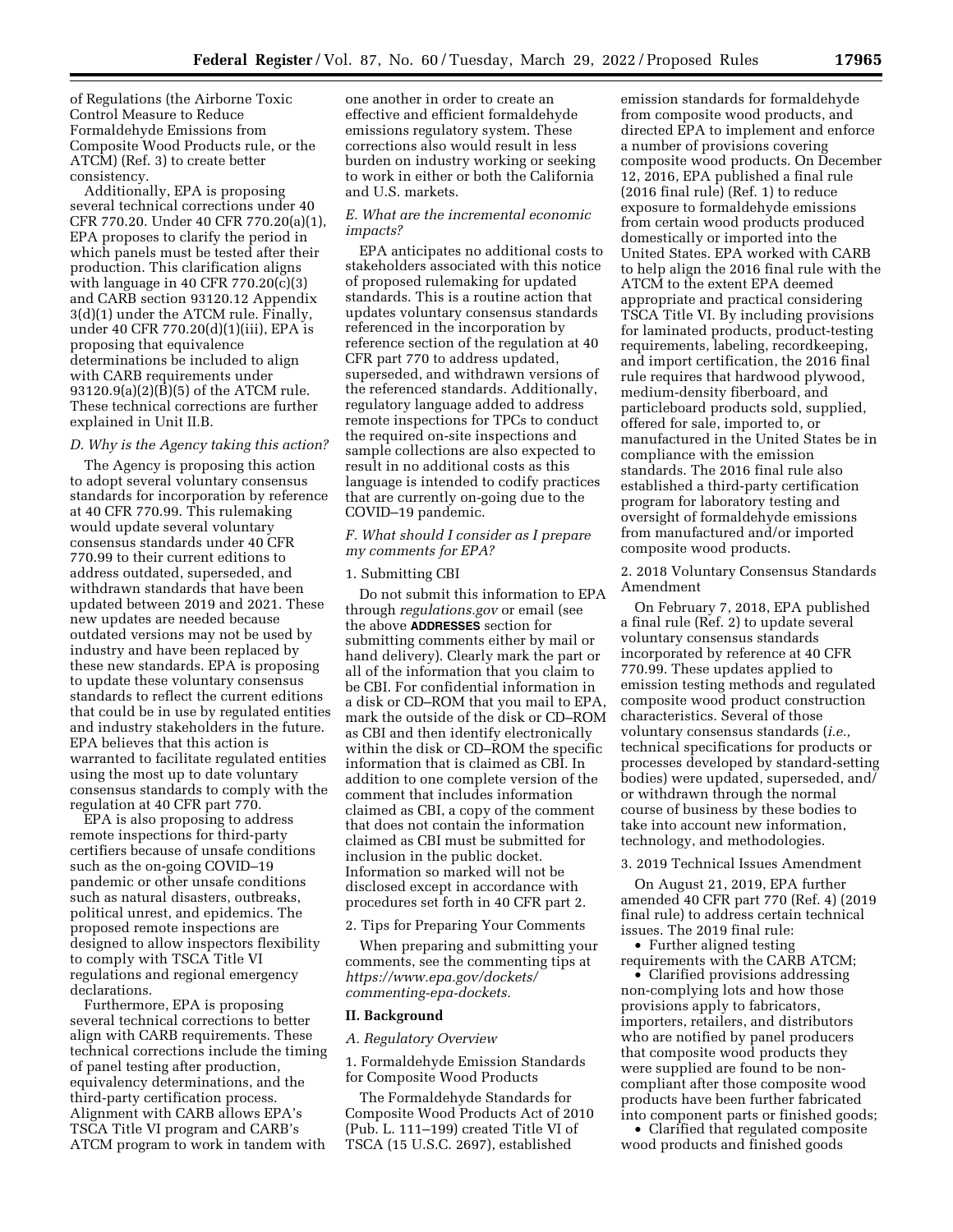of Regulations (the Airborne Toxic Control Measure to Reduce Formaldehyde Emissions from Composite Wood Products rule, or the ATCM) (Ref. 3) to create better consistency.

Additionally, EPA is proposing several technical corrections under 40 CFR 770.20. Under 40 CFR 770.20(a)(1), EPA proposes to clarify the period in which panels must be tested after their production. This clarification aligns with language in 40 CFR  $770.20(c)(3)$ and CARB section 93120.12 Appendix 3(d)(1) under the ATCM rule. Finally, under 40 CFR 770.20(d)(1)(iii), EPA is proposing that equivalence determinations be included to align with CARB requirements under 93120.9(a)(2)(B)(5) of the ATCM rule. These technical corrections are further explained in Unit II.B.

### *D. Why is the Agency taking this action?*

The Agency is proposing this action to adopt several voluntary consensus standards for incorporation by reference at 40 CFR 770.99. This rulemaking would update several voluntary consensus standards under 40 CFR 770.99 to their current editions to address outdated, superseded, and withdrawn standards that have been updated between 2019 and 2021. These new updates are needed because outdated versions may not be used by industry and have been replaced by these new standards. EPA is proposing to update these voluntary consensus standards to reflect the current editions that could be in use by regulated entities and industry stakeholders in the future. EPA believes that this action is warranted to facilitate regulated entities using the most up to date voluntary consensus standards to comply with the regulation at 40 CFR part 770.

EPA is also proposing to address remote inspections for third-party certifiers because of unsafe conditions such as the on-going COVID–19 pandemic or other unsafe conditions such as natural disasters, outbreaks, political unrest, and epidemics. The proposed remote inspections are designed to allow inspectors flexibility to comply with TSCA Title VI regulations and regional emergency declarations.

Furthermore, EPA is proposing several technical corrections to better align with CARB requirements. These technical corrections include the timing of panel testing after production, equivalency determinations, and the third-party certification process. Alignment with CARB allows EPA's TSCA Title VI program and CARB's ATCM program to work in tandem with

one another in order to create an effective and efficient formaldehyde emissions regulatory system. These corrections also would result in less burden on industry working or seeking to work in either or both the California and U.S. markets.

# *E. What are the incremental economic impacts?*

EPA anticipates no additional costs to stakeholders associated with this notice of proposed rulemaking for updated standards. This is a routine action that updates voluntary consensus standards referenced in the incorporation by reference section of the regulation at 40 CFR part 770 to address updated, superseded, and withdrawn versions of the referenced standards. Additionally, regulatory language added to address remote inspections for TPCs to conduct the required on-site inspections and sample collections are also expected to result in no additional costs as this language is intended to codify practices that are currently on-going due to the COVID–19 pandemic.

## *F. What should I consider as I prepare my comments for EPA?*

### 1. Submitting CBI

Do not submit this information to EPA through *regulations.gov* or email (see the above **ADDRESSES** section for submitting comments either by mail or hand delivery). Clearly mark the part or all of the information that you claim to be CBI. For confidential information in a disk or CD–ROM that you mail to EPA, mark the outside of the disk or CD–ROM as CBI and then identify electronically within the disk or CD–ROM the specific information that is claimed as CBI. In addition to one complete version of the comment that includes information claimed as CBI, a copy of the comment that does not contain the information claimed as CBI must be submitted for inclusion in the public docket. Information so marked will not be disclosed except in accordance with procedures set forth in 40 CFR part 2.

2. Tips for Preparing Your Comments

When preparing and submitting your comments, see the commenting tips at *[https://www.epa.gov/dockets/](https://www.epa.gov/dockets/commenting-epa-dockets)  [commenting-epa-dockets.](https://www.epa.gov/dockets/commenting-epa-dockets)* 

### **II. Background**

#### *A. Regulatory Overview*

1. Formaldehyde Emission Standards for Composite Wood Products

The Formaldehyde Standards for Composite Wood Products Act of 2010 (Pub. L. 111–199) created Title VI of TSCA (15 U.S.C. 2697), established

emission standards for formaldehyde from composite wood products, and directed EPA to implement and enforce a number of provisions covering composite wood products. On December 12, 2016, EPA published a final rule (2016 final rule) (Ref. 1) to reduce exposure to formaldehyde emissions from certain wood products produced domestically or imported into the United States. EPA worked with CARB to help align the 2016 final rule with the ATCM to the extent EPA deemed appropriate and practical considering TSCA Title VI. By including provisions for laminated products, product-testing requirements, labeling, recordkeeping, and import certification, the 2016 final rule requires that hardwood plywood, medium-density fiberboard, and particleboard products sold, supplied, offered for sale, imported to, or manufactured in the United States be in compliance with the emission standards. The 2016 final rule also established a third-party certification program for laboratory testing and oversight of formaldehyde emissions from manufactured and/or imported composite wood products.

2. 2018 Voluntary Consensus Standards Amendment

On February 7, 2018, EPA published a final rule (Ref. 2) to update several voluntary consensus standards incorporated by reference at 40 CFR 770.99. These updates applied to emission testing methods and regulated composite wood product construction characteristics. Several of those voluntary consensus standards (*i.e.,*  technical specifications for products or processes developed by standard-setting bodies) were updated, superseded, and/ or withdrawn through the normal course of business by these bodies to take into account new information, technology, and methodologies.

## 3. 2019 Technical Issues Amendment

On August 21, 2019, EPA further amended 40 CFR part 770 (Ref. 4) (2019 final rule) to address certain technical issues. The 2019 final rule:

• Further aligned testing requirements with the CARB ATCM;

• Clarified provisions addressing non-complying lots and how those provisions apply to fabricators, importers, retailers, and distributors who are notified by panel producers that composite wood products they were supplied are found to be noncompliant after those composite wood products have been further fabricated into component parts or finished goods;

• Clarified that regulated composite wood products and finished goods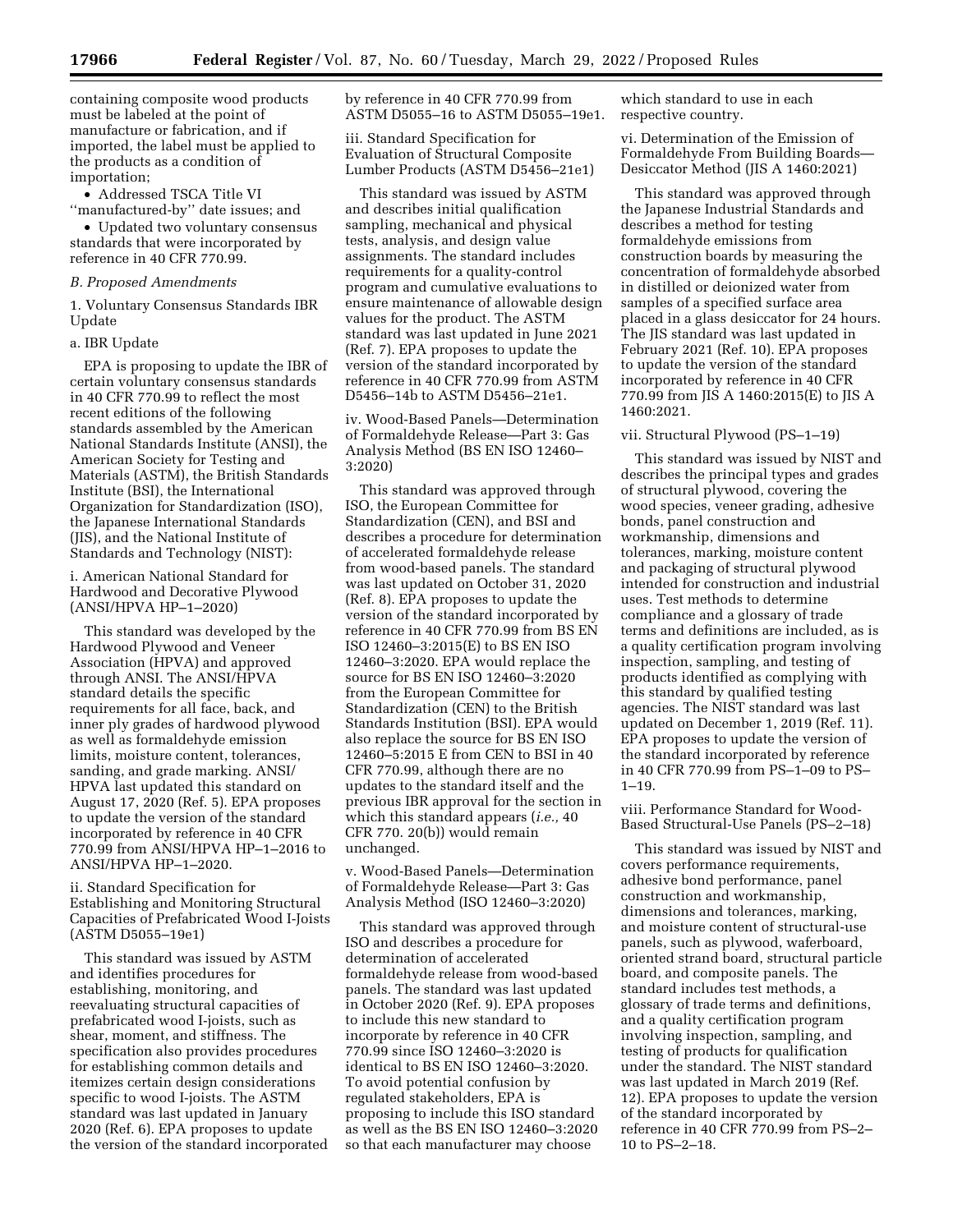containing composite wood products must be labeled at the point of manufacture or fabrication, and if imported, the label must be applied to the products as a condition of importation;

• Addressed TSCA Title VI ''manufactured-by'' date issues; and

• Updated two voluntary consensus standards that were incorporated by reference in 40 CFR 770.99.

## *B. Proposed Amendments*

1. Voluntary Consensus Standards IBR Update

## a. IBR Update

EPA is proposing to update the IBR of certain voluntary consensus standards in 40 CFR 770.99 to reflect the most recent editions of the following standards assembled by the American National Standards Institute (ANSI), the American Society for Testing and Materials (ASTM), the British Standards Institute (BSI), the International Organization for Standardization (ISO), the Japanese International Standards (JIS), and the National Institute of Standards and Technology (NIST):

i. American National Standard for Hardwood and Decorative Plywood (ANSI/HPVA HP–1–2020)

This standard was developed by the Hardwood Plywood and Veneer Association (HPVA) and approved through ANSI. The ANSI/HPVA standard details the specific requirements for all face, back, and inner ply grades of hardwood plywood as well as formaldehyde emission limits, moisture content, tolerances, sanding, and grade marking. ANSI/ HPVA last updated this standard on August 17, 2020 (Ref. 5). EPA proposes to update the version of the standard incorporated by reference in 40 CFR 770.99 from ANSI/HPVA HP–1–2016 to ANSI/HPVA HP–1–2020.

ii. Standard Specification for Establishing and Monitoring Structural Capacities of Prefabricated Wood I-Joists (ASTM D5055–19e1)

This standard was issued by ASTM and identifies procedures for establishing, monitoring, and reevaluating structural capacities of prefabricated wood I-joists, such as shear, moment, and stiffness. The specification also provides procedures for establishing common details and itemizes certain design considerations specific to wood I-joists. The ASTM standard was last updated in January 2020 (Ref. 6). EPA proposes to update the version of the standard incorporated by reference in 40 CFR 770.99 from ASTM D5055–16 to ASTM D5055–19e1.

iii. Standard Specification for Evaluation of Structural Composite Lumber Products (ASTM D5456–21e1)

This standard was issued by ASTM and describes initial qualification sampling, mechanical and physical tests, analysis, and design value assignments. The standard includes requirements for a quality-control program and cumulative evaluations to ensure maintenance of allowable design values for the product. The ASTM standard was last updated in June 2021 (Ref. 7). EPA proposes to update the version of the standard incorporated by reference in 40 CFR 770.99 from ASTM D5456–14b to ASTM D5456–21e1.

iv. Wood-Based Panels—Determination of Formaldehyde Release—Part 3: Gas Analysis Method (BS EN ISO 12460– 3:2020)

This standard was approved through ISO, the European Committee for Standardization (CEN), and BSI and describes a procedure for determination of accelerated formaldehyde release from wood-based panels. The standard was last updated on October 31, 2020 (Ref. 8). EPA proposes to update the version of the standard incorporated by reference in 40 CFR 770.99 from BS EN ISO 12460–3:2015(E) to BS EN ISO 12460–3:2020. EPA would replace the source for BS EN ISO 12460–3:2020 from the European Committee for Standardization (CEN) to the British Standards Institution (BSI). EPA would also replace the source for BS EN ISO 12460–5:2015 E from CEN to BSI in 40 CFR 770.99, although there are no updates to the standard itself and the previous IBR approval for the section in which this standard appears (*i.e.,* 40 CFR 770. 20(b)) would remain unchanged.

v. Wood-Based Panels—Determination of Formaldehyde Release—Part 3: Gas Analysis Method (ISO 12460–3:2020)

This standard was approved through ISO and describes a procedure for determination of accelerated formaldehyde release from wood-based panels. The standard was last updated in October 2020 (Ref. 9). EPA proposes to include this new standard to incorporate by reference in 40 CFR 770.99 since ISO 12460–3:2020 is identical to BS EN ISO 12460–3:2020. To avoid potential confusion by regulated stakeholders, EPA is proposing to include this ISO standard as well as the BS EN ISO 12460–3:2020 so that each manufacturer may choose

which standard to use in each respective country.

vi. Determination of the Emission of Formaldehyde From Building Boards— Desiccator Method (JIS A 1460:2021)

This standard was approved through the Japanese Industrial Standards and describes a method for testing formaldehyde emissions from construction boards by measuring the concentration of formaldehyde absorbed in distilled or deionized water from samples of a specified surface area placed in a glass desiccator for 24 hours. The JIS standard was last updated in February 2021 (Ref. 10). EPA proposes to update the version of the standard incorporated by reference in 40 CFR 770.99 from JIS A 1460:2015(E) to JIS A 1460:2021.

## vii. Structural Plywood (PS–1–19)

This standard was issued by NIST and describes the principal types and grades of structural plywood, covering the wood species, veneer grading, adhesive bonds, panel construction and workmanship, dimensions and tolerances, marking, moisture content and packaging of structural plywood intended for construction and industrial uses. Test methods to determine compliance and a glossary of trade terms and definitions are included, as is a quality certification program involving inspection, sampling, and testing of products identified as complying with this standard by qualified testing agencies. The NIST standard was last updated on December 1, 2019 (Ref. 11). EPA proposes to update the version of the standard incorporated by reference in 40 CFR 770.99 from PS–1–09 to PS– 1–19.

viii. Performance Standard for Wood-Based Structural-Use Panels (PS–2–18)

This standard was issued by NIST and covers performance requirements, adhesive bond performance, panel construction and workmanship, dimensions and tolerances, marking, and moisture content of structural-use panels, such as plywood, waferboard, oriented strand board, structural particle board, and composite panels. The standard includes test methods, a glossary of trade terms and definitions, and a quality certification program involving inspection, sampling, and testing of products for qualification under the standard. The NIST standard was last updated in March 2019 (Ref. 12). EPA proposes to update the version of the standard incorporated by reference in 40 CFR 770.99 from PS–2– 10 to PS–2–18.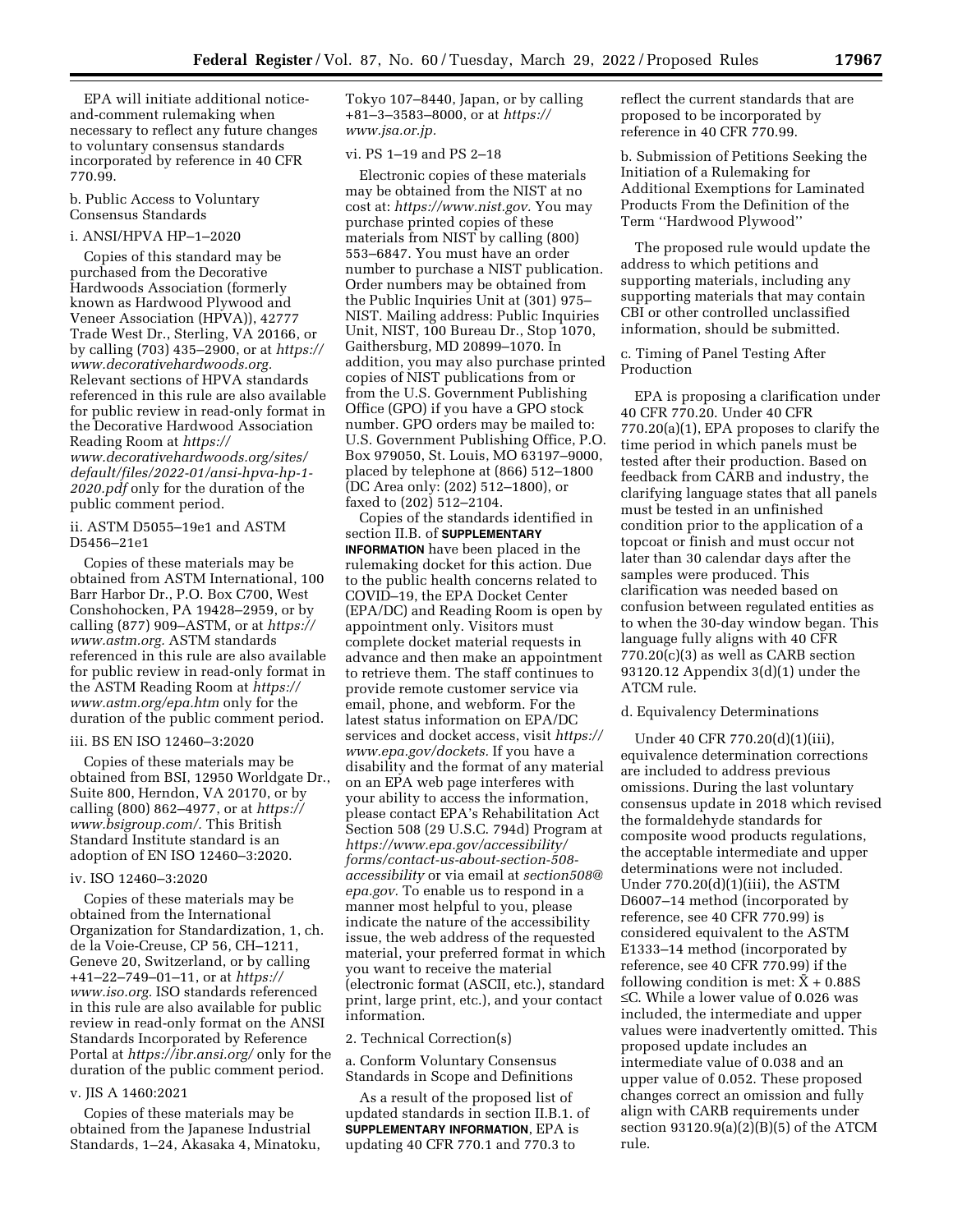EPA will initiate additional noticeand-comment rulemaking when necessary to reflect any future changes to voluntary consensus standards incorporated by reference in 40 CFR 770.99.

b. Public Access to Voluntary Consensus Standards

## i. ANSI/HPVA HP–1–2020

Copies of this standard may be purchased from the Decorative Hardwoods Association (formerly known as Hardwood Plywood and Veneer Association (HPVA)), 42777 Trade West Dr., Sterling, VA 20166, or by calling (703) 435–2900, or at *[https://](https://www.decorativehardwoods.org)  [www.decorativehardwoods.org.](https://www.decorativehardwoods.org)*  Relevant sections of HPVA standards referenced in this rule are also available for public review in read-only format in the Decorative Hardwood Association Reading Room at *[https://](https://www.decorativehardwoods.org/sites/default/files/2022-01/ansi-hpva-hp-1-2020.pdf) [www.decorativehardwoods.org/sites/](https://www.decorativehardwoods.org/sites/default/files/2022-01/ansi-hpva-hp-1-2020.pdf)  [default/files/2022-01/ansi-hpva-hp-1-](https://www.decorativehardwoods.org/sites/default/files/2022-01/ansi-hpva-hp-1-2020.pdf) [2020.pdf](https://www.decorativehardwoods.org/sites/default/files/2022-01/ansi-hpva-hp-1-2020.pdf)* only for the duration of the public comment period.

ii. ASTM D5055–19e1 and ASTM D5456–21e1

Copies of these materials may be obtained from ASTM International, 100 Barr Harbor Dr., P.O. Box C700, West Conshohocken, PA 19428–2959, or by calling (877) 909–ASTM, or at *[https://](https://www.astm.org) [www.astm.org.](https://www.astm.org)* ASTM standards referenced in this rule are also available for public review in read-only format in the ASTM Reading Room at *[https://](https://www.astm.org/epa.htm) [www.astm.org/epa.htm](https://www.astm.org/epa.htm)* only for the duration of the public comment period.

## iii. BS EN ISO 12460–3:2020

Copies of these materials may be obtained from BSI, 12950 Worldgate Dr., Suite 800, Herndon, VA 20170, or by calling (800) 862–4977, or at *[https://](https://www.bsigroup.com/) [www.bsigroup.com/.](https://www.bsigroup.com/)* This British Standard Institute standard is an adoption of EN ISO 12460–3:2020.

## iv. ISO 12460–3:2020

Copies of these materials may be obtained from the International Organization for Standardization, 1, ch. de la Voie-Creuse, CP 56, CH–1211, Geneve 20, Switzerland, or by calling +41–22–749–01–11, or at *[https://](https://www.iso.org) [www.iso.org.](https://www.iso.org)* ISO standards referenced in this rule are also available for public review in read-only format on the ANSI Standards Incorporated by Reference Portal at *<https://ibr.ansi.org/>*only for the duration of the public comment period.

### v. JIS A 1460:2021

Copies of these materials may be obtained from the Japanese Industrial Standards, 1–24, Akasaka 4, Minatoku, Tokyo 107–8440, Japan, or by calling +81–3–3583–8000, or at *[https://](https://www.jsa.or.jp) [www.jsa.or.jp.](https://www.jsa.or.jp)* 

## vi. PS 1–19 and PS 2–18

Electronic copies of these materials may be obtained from the NIST at no cost at: *[https://www.nist.gov.](https://www.nist.gov)* You may purchase printed copies of these materials from NIST by calling (800) 553–6847. You must have an order number to purchase a NIST publication. Order numbers may be obtained from the Public Inquiries Unit at (301) 975– NIST. Mailing address: Public Inquiries Unit, NIST, 100 Bureau Dr., Stop 1070, Gaithersburg, MD 20899–1070. In addition, you may also purchase printed copies of NIST publications from or from the U.S. Government Publishing Office (GPO) if you have a GPO stock number. GPO orders may be mailed to: U.S. Government Publishing Office, P.O. Box 979050, St. Louis, MO 63197–9000, placed by telephone at (866) 512–1800 (DC Area only: (202) 512–1800), or faxed to (202) 512–2104.

Copies of the standards identified in section II.B. of **SUPPLEMENTARY INFORMATION** have been placed in the rulemaking docket for this action. Due to the public health concerns related to COVID–19, the EPA Docket Center (EPA/DC) and Reading Room is open by appointment only. Visitors must complete docket material requests in advance and then make an appointment to retrieve them. The staff continues to provide remote customer service via email, phone, and webform. For the latest status information on EPA/DC services and docket access, visit *[https://](https://www.epa.gov/dockets) [www.epa.gov/dockets.](https://www.epa.gov/dockets)* If you have a disability and the format of any material on an EPA web page interferes with your ability to access the information, please contact EPA's Rehabilitation Act Section 508 (29 U.S.C. 794d) Program at *[https://www.epa.gov/accessibility/](https://www.epa.gov/accessibility/forms/contact-us-about-section-508-accessibility)  [forms/contact-us-about-section-508](https://www.epa.gov/accessibility/forms/contact-us-about-section-508-accessibility)  [accessibility](https://www.epa.gov/accessibility/forms/contact-us-about-section-508-accessibility)* or via email at *[section508@](mailto:section508@epa.gov) [epa.gov.](mailto:section508@epa.gov)* To enable us to respond in a manner most helpful to you, please indicate the nature of the accessibility issue, the web address of the requested material, your preferred format in which you want to receive the material (electronic format (ASCII, etc.), standard print, large print, etc.), and your contact information.

### 2. Technical Correction(s)

a. Conform Voluntary Consensus Standards in Scope and Definitions

As a result of the proposed list of updated standards in section II.B.1. of **SUPPLEMENTARY INFORMATION**, EPA is updating 40 CFR 770.1 and 770.3 to

reflect the current standards that are proposed to be incorporated by reference in 40 CFR 770.99.

b. Submission of Petitions Seeking the Initiation of a Rulemaking for Additional Exemptions for Laminated Products From the Definition of the Term ''Hardwood Plywood''

The proposed rule would update the address to which petitions and supporting materials, including any supporting materials that may contain CBI or other controlled unclassified information, should be submitted.

c. Timing of Panel Testing After Production

EPA is proposing a clarification under 40 CFR 770.20. Under 40 CFR 770.20(a)(1), EPA proposes to clarify the time period in which panels must be tested after their production. Based on feedback from CARB and industry, the clarifying language states that all panels must be tested in an unfinished condition prior to the application of a topcoat or finish and must occur not later than 30 calendar days after the samples were produced. This clarification was needed based on confusion between regulated entities as to when the 30-day window began. This language fully aligns with 40 CFR  $770.20(c)(3)$  as well as CARB section 93120.12 Appendix 3(d)(1) under the ATCM rule.

### d. Equivalency Determinations

Under 40 CFR 770.20(d)(1)(iii), equivalence determination corrections are included to address previous omissions. During the last voluntary consensus update in 2018 which revised the formaldehyde standards for composite wood products regulations, the acceptable intermediate and upper determinations were not included. Under  $770.20(d)(1)(iii)$ , the ASTM D6007–14 method (incorporated by reference, see 40 CFR 770.99) is considered equivalent to the ASTM E1333–14 method (incorporated by reference, see 40 CFR 770.99) if the following condition is met:  $\bar{X}$  + 0.88S ≤C. While a lower value of 0.026 was included, the intermediate and upper values were inadvertently omitted. This proposed update includes an intermediate value of 0.038 and an upper value of 0.052. These proposed changes correct an omission and fully align with CARB requirements under section 93120.9(a)(2)(B)(5) of the ATCM rule.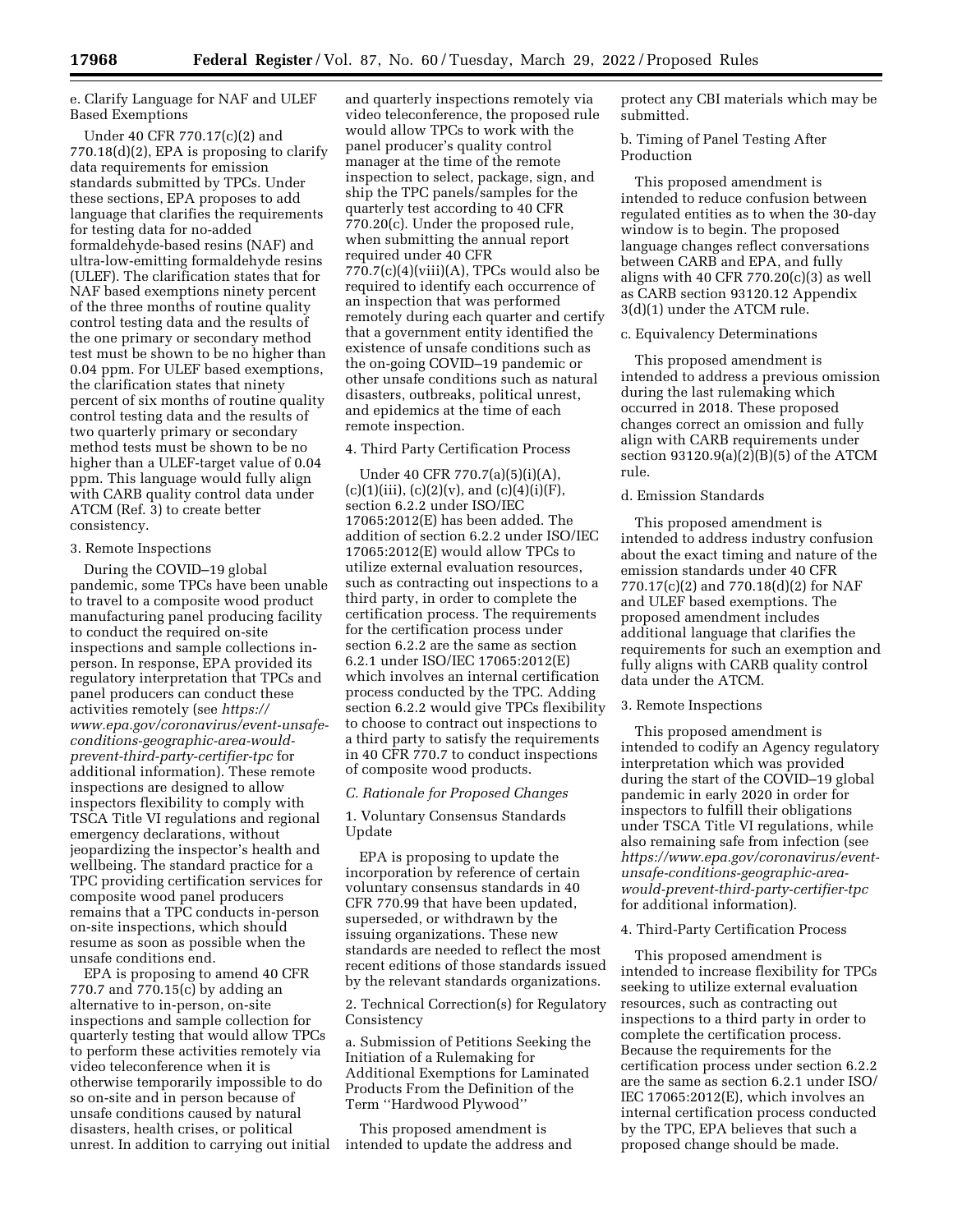e. Clarify Language for NAF and ULEF Based Exemptions

Under 40 CFR 770.17(c)(2) and  $770.18(d)(2)$ , EPA is proposing to clarify data requirements for emission standards submitted by TPCs. Under these sections, EPA proposes to add language that clarifies the requirements for testing data for no-added formaldehyde-based resins (NAF) and ultra-low-emitting formaldehyde resins (ULEF). The clarification states that for NAF based exemptions ninety percent of the three months of routine quality control testing data and the results of the one primary or secondary method test must be shown to be no higher than 0.04 ppm. For ULEF based exemptions, the clarification states that ninety percent of six months of routine quality control testing data and the results of two quarterly primary or secondary method tests must be shown to be no higher than a ULEF-target value of 0.04 ppm. This language would fully align with CARB quality control data under ATCM (Ref. 3) to create better consistency.

#### 3. Remote Inspections

During the COVID–19 global pandemic, some TPCs have been unable to travel to a composite wood product manufacturing panel producing facility to conduct the required on-site inspections and sample collections inperson. In response, EPA provided its regulatory interpretation that TPCs and panel producers can conduct these activities remotely (see *[https://](https://www.epa.gov/coronavirus/event-unsafe-conditions-geographic-area-would-prevent-third-party-certifier-tpc) [www.epa.gov/coronavirus/event-unsafe](https://www.epa.gov/coronavirus/event-unsafe-conditions-geographic-area-would-prevent-third-party-certifier-tpc)[conditions-geographic-area-would](https://www.epa.gov/coronavirus/event-unsafe-conditions-geographic-area-would-prevent-third-party-certifier-tpc)[prevent-third-party-certifier-tpc](https://www.epa.gov/coronavirus/event-unsafe-conditions-geographic-area-would-prevent-third-party-certifier-tpc)* for additional information). These remote inspections are designed to allow inspectors flexibility to comply with TSCA Title VI regulations and regional emergency declarations, without jeopardizing the inspector's health and wellbeing. The standard practice for a TPC providing certification services for composite wood panel producers remains that a TPC conducts in-person on-site inspections, which should resume as soon as possible when the unsafe conditions end.

EPA is proposing to amend 40 CFR 770.7 and 770.15(c) by adding an alternative to in-person, on-site inspections and sample collection for quarterly testing that would allow TPCs to perform these activities remotely via video teleconference when it is otherwise temporarily impossible to do so on-site and in person because of unsafe conditions caused by natural disasters, health crises, or political unrest. In addition to carrying out initial

and quarterly inspections remotely via video teleconference, the proposed rule would allow TPCs to work with the panel producer's quality control manager at the time of the remote inspection to select, package, sign, and ship the TPC panels/samples for the quarterly test according to 40 CFR 770.20(c). Under the proposed rule, when submitting the annual report required under 40 CFR  $770.7(c)(4)(viii)(A)$ , TPCs would also be required to identify each occurrence of an inspection that was performed remotely during each quarter and certify that a government entity identified the existence of unsafe conditions such as the on-going COVID–19 pandemic or other unsafe conditions such as natural disasters, outbreaks, political unrest, and epidemics at the time of each remote inspection.

### 4. Third Party Certification Process

Under 40 CFR 770.7(a)(5)(i)(A),  $(c)(1)(iii)$ ,  $(c)(2)(v)$ , and  $(c)(4)(i)(F)$ , section 6.2.2 under ISO/IEC 17065:2012(E) has been added. The addition of section 6.2.2 under ISO/IEC 17065:2012(E) would allow TPCs to utilize external evaluation resources, such as contracting out inspections to a third party, in order to complete the certification process. The requirements for the certification process under section 6.2.2 are the same as section 6.2.1 under ISO/IEC 17065:2012(E) which involves an internal certification process conducted by the TPC. Adding section 6.2.2 would give TPCs flexibility to choose to contract out inspections to a third party to satisfy the requirements in 40 CFR 770.7 to conduct inspections of composite wood products.

# *C. Rationale for Proposed Changes*

1. Voluntary Consensus Standards Update

EPA is proposing to update the incorporation by reference of certain voluntary consensus standards in 40 CFR 770.99 that have been updated, superseded, or withdrawn by the issuing organizations. These new standards are needed to reflect the most recent editions of those standards issued by the relevant standards organizations.

2. Technical Correction(s) for Regulatory Consistency

a. Submission of Petitions Seeking the Initiation of a Rulemaking for Additional Exemptions for Laminated Products From the Definition of the Term ''Hardwood Plywood''

This proposed amendment is intended to update the address and protect any CBI materials which may be submitted.

b. Timing of Panel Testing After Production

This proposed amendment is intended to reduce confusion between regulated entities as to when the 30-day window is to begin. The proposed language changes reflect conversations between CARB and EPA, and fully aligns with 40 CFR  $770.20(c)(3)$  as well as CARB section 93120.12 Appendix 3(d)(1) under the ATCM rule.

### c. Equivalency Determinations

This proposed amendment is intended to address a previous omission during the last rulemaking which occurred in 2018. These proposed changes correct an omission and fully align with CARB requirements under section 93120.9(a)(2)(B)(5) of the ATCM rule.

## d. Emission Standards

This proposed amendment is intended to address industry confusion about the exact timing and nature of the emission standards under 40 CFR 770.17(c)(2) and 770.18(d)(2) for NAF and ULEF based exemptions. The proposed amendment includes additional language that clarifies the requirements for such an exemption and fully aligns with CARB quality control data under the ATCM.

#### 3. Remote Inspections

This proposed amendment is intended to codify an Agency regulatory interpretation which was provided during the start of the COVID–19 global pandemic in early 2020 in order for inspectors to fulfill their obligations under TSCA Title VI regulations, while also remaining safe from infection (see *[https://www.epa.gov/coronavirus/event](https://www.epa.gov/coronavirus/event-unsafe-conditions-geographic-area-would-prevent-third-party-certifier-tpc)[unsafe-conditions-geographic-area](https://www.epa.gov/coronavirus/event-unsafe-conditions-geographic-area-would-prevent-third-party-certifier-tpc)[would-prevent-third-party-certifier-tpc](https://www.epa.gov/coronavirus/event-unsafe-conditions-geographic-area-would-prevent-third-party-certifier-tpc)*  for additional information).

## 4. Third-Party Certification Process

This proposed amendment is intended to increase flexibility for TPCs seeking to utilize external evaluation resources, such as contracting out inspections to a third party in order to complete the certification process. Because the requirements for the certification process under section 6.2.2 are the same as section 6.2.1 under ISO/ IEC 17065:2012(E), which involves an internal certification process conducted by the TPC, EPA believes that such a proposed change should be made.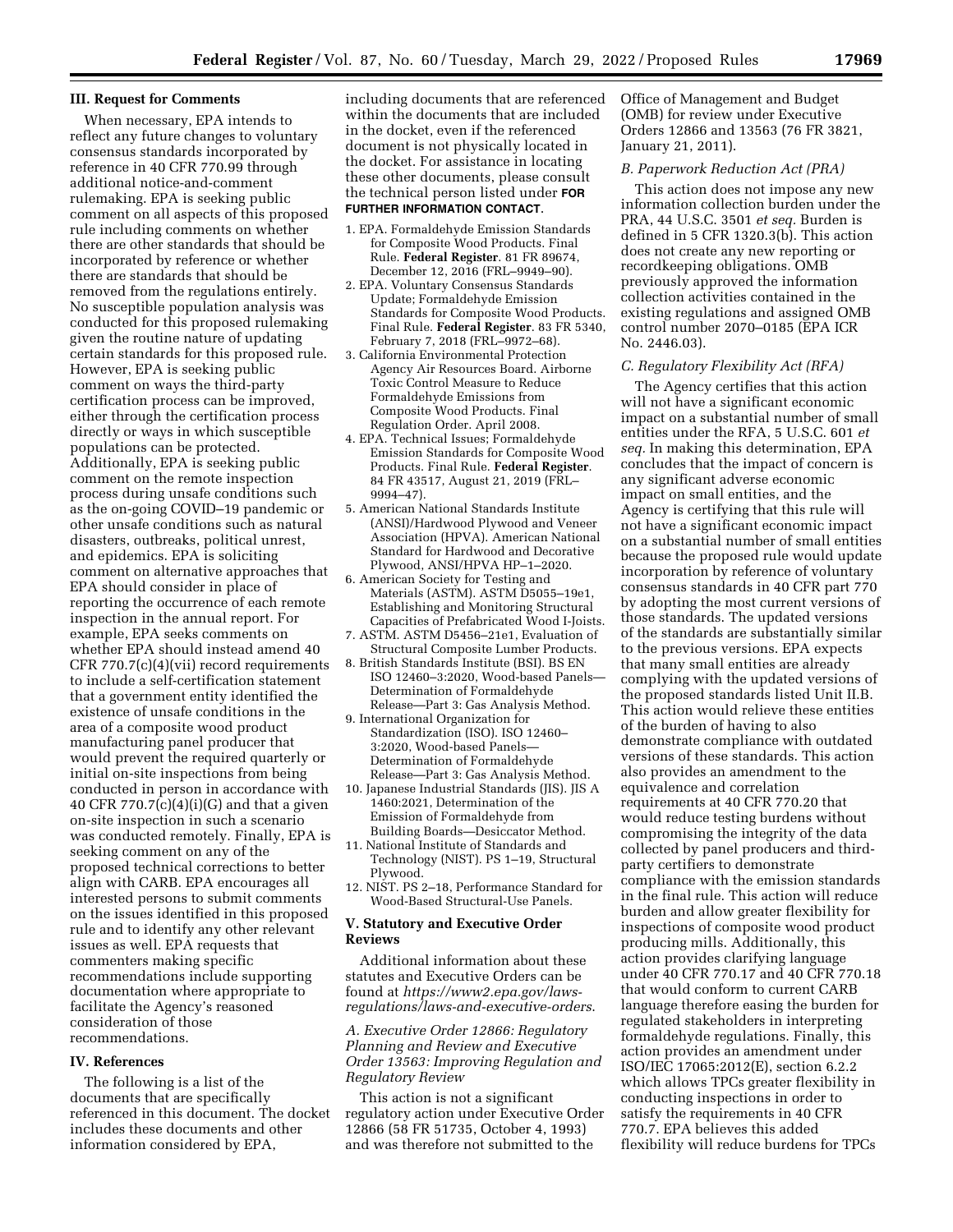## **III. Request for Comments**

When necessary, EPA intends to reflect any future changes to voluntary consensus standards incorporated by reference in 40 CFR 770.99 through additional notice-and-comment rulemaking. EPA is seeking public comment on all aspects of this proposed rule including comments on whether there are other standards that should be incorporated by reference or whether there are standards that should be removed from the regulations entirely. No susceptible population analysis was conducted for this proposed rulemaking given the routine nature of updating certain standards for this proposed rule. However, EPA is seeking public comment on ways the third-party certification process can be improved, either through the certification process directly or ways in which susceptible populations can be protected. Additionally, EPA is seeking public comment on the remote inspection process during unsafe conditions such as the on-going COVID–19 pandemic or other unsafe conditions such as natural disasters, outbreaks, political unrest, and epidemics. EPA is soliciting comment on alternative approaches that EPA should consider in place of reporting the occurrence of each remote inspection in the annual report. For example, EPA seeks comments on whether EPA should instead amend 40 CFR 770.7(c)(4)(vii) record requirements to include a self-certification statement that a government entity identified the existence of unsafe conditions in the area of a composite wood product manufacturing panel producer that would prevent the required quarterly or initial on-site inspections from being conducted in person in accordance with 40 CFR 770.7 $(c)(4)(i)(G)$  and that a given on-site inspection in such a scenario was conducted remotely. Finally, EPA is seeking comment on any of the proposed technical corrections to better align with CARB. EPA encourages all interested persons to submit comments on the issues identified in this proposed rule and to identify any other relevant issues as well. EPA requests that commenters making specific recommendations include supporting documentation where appropriate to facilitate the Agency's reasoned consideration of those recommendations.

## **IV. References**

The following is a list of the documents that are specifically referenced in this document. The docket includes these documents and other information considered by EPA,

including documents that are referenced within the documents that are included in the docket, even if the referenced document is not physically located in the docket. For assistance in locating these other documents, please consult the technical person listed under **FOR FURTHER INFORMATION CONTACT**.

- 1. EPA. Formaldehyde Emission Standards for Composite Wood Products. Final Rule. **Federal Register**. 81 FR 89674, December 12, 2016 (FRL–9949–90).
- 2. EPA. Voluntary Consensus Standards Update; Formaldehyde Emission Standards for Composite Wood Products. Final Rule. **Federal Register**. 83 FR 5340, February 7, 2018 (FRL–9972–68).
- 3. California Environmental Protection Agency Air Resources Board. Airborne Toxic Control Measure to Reduce Formaldehyde Emissions from Composite Wood Products. Final Regulation Order. April 2008.
- 4. EPA. Technical Issues; Formaldehyde Emission Standards for Composite Wood Products. Final Rule. **Federal Register**. 84 FR 43517, August 21, 2019 (FRL– 9994–47).
- 5. American National Standards Institute (ANSI)/Hardwood Plywood and Veneer Association (HPVA). American National Standard for Hardwood and Decorative Plywood, ANSI/HPVA HP–1–2020.
- 6. American Society for Testing and Materials (ASTM). ASTM D5055–19e1, Establishing and Monitoring Structural Capacities of Prefabricated Wood I-Joists.
- 7. ASTM. ASTM D5456–21e1, Evaluation of Structural Composite Lumber Products.
- 8. British Standards Institute (BSI). BS EN ISO 12460–3:2020, Wood-based Panels— Determination of Formaldehyde Release—Part 3: Gas Analysis Method.
- 9. International Organization for Standardization (ISO). ISO 12460– 3:2020, Wood-based Panels— Determination of Formaldehyde Release—Part 3: Gas Analysis Method.
- 10. Japanese Industrial Standards (JIS). JIS A 1460:2021, Determination of the Emission of Formaldehyde from Building Boards—Desiccator Method.
- 11. National Institute of Standards and Technology (NIST). PS 1–19, Structural Plywood.
- 12. NIST. PS 2–18, Performance Standard for Wood-Based Structural-Use Panels.

## **V. Statutory and Executive Order Reviews**

Additional information about these statutes and Executive Orders can be found at *[https://www2.epa.gov/laws](https://www2.epa.gov/laws-regulations/laws-and-executive-orders)[regulations/laws-and-executive-orders](https://www2.epa.gov/laws-regulations/laws-and-executive-orders)*.

*A. Executive Order 12866: Regulatory Planning and Review and Executive Order 13563: Improving Regulation and Regulatory Review* 

This action is not a significant regulatory action under Executive Order 12866 (58 FR 51735, October 4, 1993) and was therefore not submitted to the

Office of Management and Budget (OMB) for review under Executive Orders 12866 and 13563 (76 FR 3821, January 21, 2011).

## *B. Paperwork Reduction Act (PRA)*

This action does not impose any new information collection burden under the PRA, 44 U.S.C. 3501 *et seq.* Burden is defined in 5 CFR 1320.3(b). This action does not create any new reporting or recordkeeping obligations. OMB previously approved the information collection activities contained in the existing regulations and assigned OMB control number 2070–0185 (EPA ICR No. 2446.03).

## *C. Regulatory Flexibility Act (RFA)*

The Agency certifies that this action will not have a significant economic impact on a substantial number of small entities under the RFA, 5 U.S.C. 601 *et seq.* In making this determination, EPA concludes that the impact of concern is any significant adverse economic impact on small entities, and the Agency is certifying that this rule will not have a significant economic impact on a substantial number of small entities because the proposed rule would update incorporation by reference of voluntary consensus standards in 40 CFR part 770 by adopting the most current versions of those standards. The updated versions of the standards are substantially similar to the previous versions. EPA expects that many small entities are already complying with the updated versions of the proposed standards listed Unit II.B. This action would relieve these entities of the burden of having to also demonstrate compliance with outdated versions of these standards. This action also provides an amendment to the equivalence and correlation requirements at 40 CFR 770.20 that would reduce testing burdens without compromising the integrity of the data collected by panel producers and thirdparty certifiers to demonstrate compliance with the emission standards in the final rule. This action will reduce burden and allow greater flexibility for inspections of composite wood product producing mills. Additionally, this action provides clarifying language under 40 CFR 770.17 and 40 CFR 770.18 that would conform to current CARB language therefore easing the burden for regulated stakeholders in interpreting formaldehyde regulations. Finally, this action provides an amendment under ISO/IEC 17065:2012(E), section 6.2.2 which allows TPCs greater flexibility in conducting inspections in order to satisfy the requirements in 40 CFR 770.7. EPA believes this added flexibility will reduce burdens for TPCs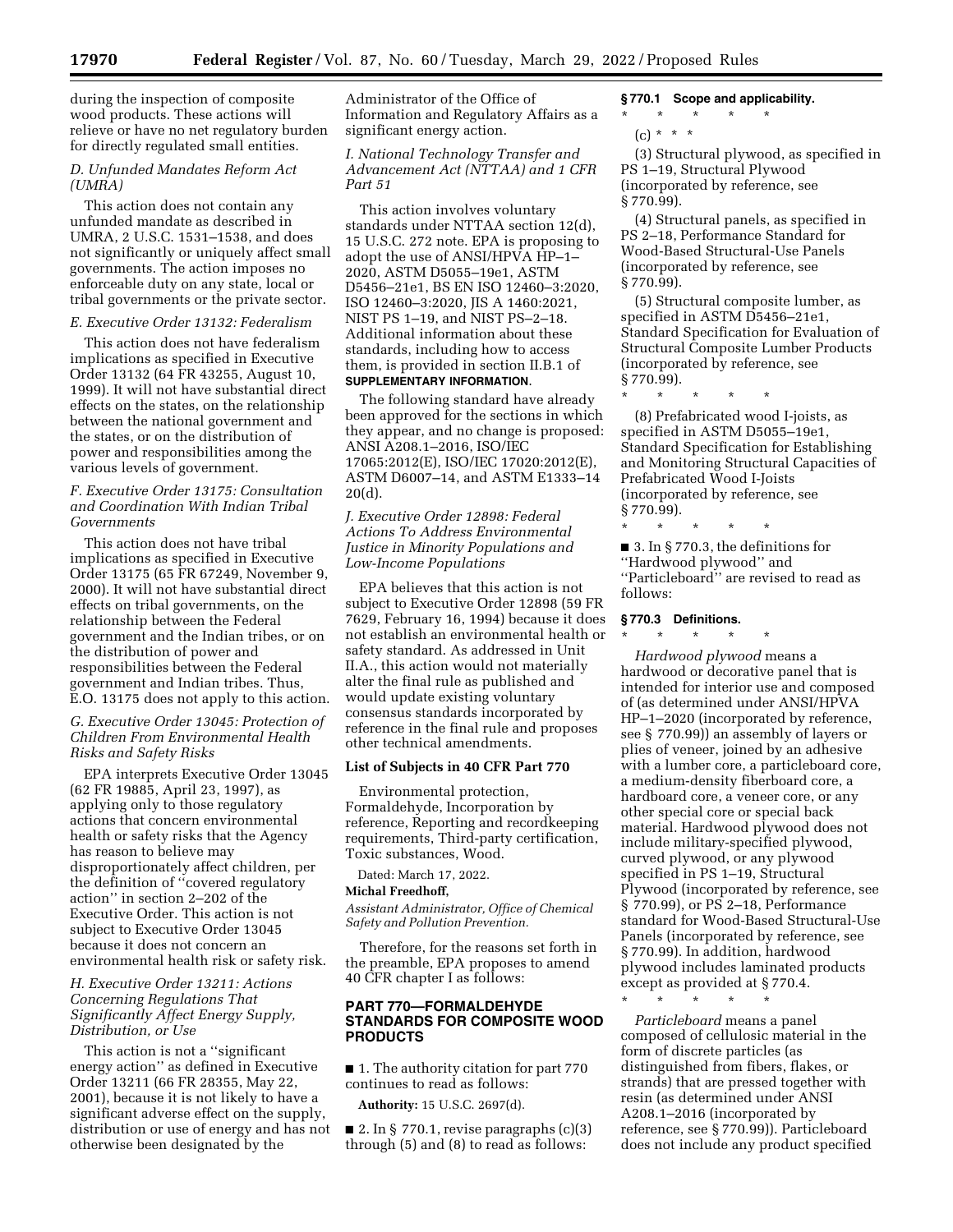during the inspection of composite wood products. These actions will relieve or have no net regulatory burden for directly regulated small entities.

# *D. Unfunded Mandates Reform Act (UMRA)*

This action does not contain any unfunded mandate as described in UMRA, 2 U.S.C. 1531–1538, and does not significantly or uniquely affect small governments. The action imposes no enforceable duty on any state, local or tribal governments or the private sector.

#### *E. Executive Order 13132: Federalism*

This action does not have federalism implications as specified in Executive Order 13132 (64 FR 43255, August 10, 1999). It will not have substantial direct effects on the states, on the relationship between the national government and the states, or on the distribution of power and responsibilities among the various levels of government.

## *F. Executive Order 13175: Consultation and Coordination With Indian Tribal Governments*

This action does not have tribal implications as specified in Executive Order 13175 (65 FR 67249, November 9, 2000). It will not have substantial direct effects on tribal governments, on the relationship between the Federal government and the Indian tribes, or on the distribution of power and responsibilities between the Federal government and Indian tribes. Thus, E.O. 13175 does not apply to this action.

# *G. Executive Order 13045: Protection of Children From Environmental Health Risks and Safety Risks*

EPA interprets Executive Order 13045 (62 FR 19885, April 23, 1997), as applying only to those regulatory actions that concern environmental health or safety risks that the Agency has reason to believe may disproportionately affect children, per the definition of ''covered regulatory action'' in section 2–202 of the Executive Order. This action is not subject to Executive Order 13045 because it does not concern an environmental health risk or safety risk.

## *H. Executive Order 13211: Actions Concerning Regulations That Significantly Affect Energy Supply, Distribution, or Use*

This action is not a ''significant energy action'' as defined in Executive Order 13211 (66 FR 28355, May 22, 2001), because it is not likely to have a significant adverse effect on the supply, distribution or use of energy and has not otherwise been designated by the

Administrator of the Office of Information and Regulatory Affairs as a significant energy action.

*I. National Technology Transfer and Advancement Act (NTTAA) and 1 CFR Part 51* 

This action involves voluntary standards under NTTAA section 12(d), 15 U.S.C. 272 note. EPA is proposing to adopt the use of ANSI/HPVA HP–1– 2020, ASTM D5055–19e1, ASTM D5456–21e1, BS EN ISO 12460–3:2020, ISO 12460–3:2020, JIS A 1460:2021, NIST PS 1–19, and NIST PS–2–18. Additional information about these standards, including how to access them, is provided in section II.B.1 of **SUPPLEMENTARY INFORMATION**.

The following standard have already been approved for the sections in which they appear, and no change is proposed: ANSI A208.1–2016, ISO/IEC 17065:2012(E), ISO/IEC 17020:2012(E), ASTM D6007–14, and ASTM E1333–14 20(d).

# *J. Executive Order 12898: Federal Actions To Address Environmental Justice in Minority Populations and Low-Income Populations*

EPA believes that this action is not subject to Executive Order 12898 (59 FR 7629, February 16, 1994) because it does not establish an environmental health or safety standard. As addressed in Unit II.A., this action would not materially alter the final rule as published and would update existing voluntary consensus standards incorporated by reference in the final rule and proposes other technical amendments.

# **List of Subjects in 40 CFR Part 770**

Environmental protection, Formaldehyde, Incorporation by reference, Reporting and recordkeeping requirements, Third-party certification, Toxic substances, Wood.

Dated: March 17, 2022.

## **Michal Freedhoff,**

*Assistant Administrator, Office of Chemical Safety and Pollution Prevention.* 

Therefore, for the reasons set forth in the preamble, EPA proposes to amend 40 CFR chapter I as follows:

## **PART 770—FORMALDEHYDE STANDARDS FOR COMPOSITE WOOD PRODUCTS**

■ 1. The authority citation for part 770 continues to read as follows:

**Authority:** 15 U.S.C. 2697(d).

■ 2. In § 770.1, revise paragraphs  $(c)(3)$ through (5) and (8) to read as follows:

# **§ 770.1 Scope and applicability.**

\* \* \* \* \*  $(c) * * * *$ 

(3) Structural plywood, as specified in PS 1–19, Structural Plywood (incorporated by reference, see § 770.99).

(4) Structural panels, as specified in PS 2–18, Performance Standard for Wood-Based Structural-Use Panels (incorporated by reference, see § 770.99).

(5) Structural composite lumber, as specified in ASTM D5456–21e1, Standard Specification for Evaluation of Structural Composite Lumber Products (incorporated by reference, see § 770.99).

(8) Prefabricated wood I-joists, as specified in ASTM D5055–19e1, Standard Specification for Establishing and Monitoring Structural Capacities of Prefabricated Wood I-Joists (incorporated by reference, see § 770.99).

■ 3. In § 770.3, the definitions for ''Hardwood plywood'' and ''Particleboard'' are revised to read as follows:

#### **§ 770.3 Definitions.**

\* \* \* \* \*

\* \* \* \* \*

\* \* \* \* \*

*Hardwood plywood* means a hardwood or decorative panel that is intended for interior use and composed of (as determined under ANSI/HPVA HP–1–2020 (incorporated by reference, see § 770.99)) an assembly of layers or plies of veneer, joined by an adhesive with a lumber core, a particleboard core, a medium-density fiberboard core, a hardboard core, a veneer core, or any other special core or special back material. Hardwood plywood does not include military-specified plywood, curved plywood, or any plywood specified in PS 1–19, Structural Plywood (incorporated by reference, see § 770.99), or PS 2–18, Performance standard for Wood-Based Structural-Use Panels (incorporated by reference, see § 770.99). In addition, hardwood plywood includes laminated products except as provided at § 770.4.

*Particleboard* means a panel composed of cellulosic material in the form of discrete particles (as distinguished from fibers, flakes, or strands) that are pressed together with resin (as determined under ANSI A208.1–2016 (incorporated by reference, see § 770.99)). Particleboard does not include any product specified

\* \* \* \* \*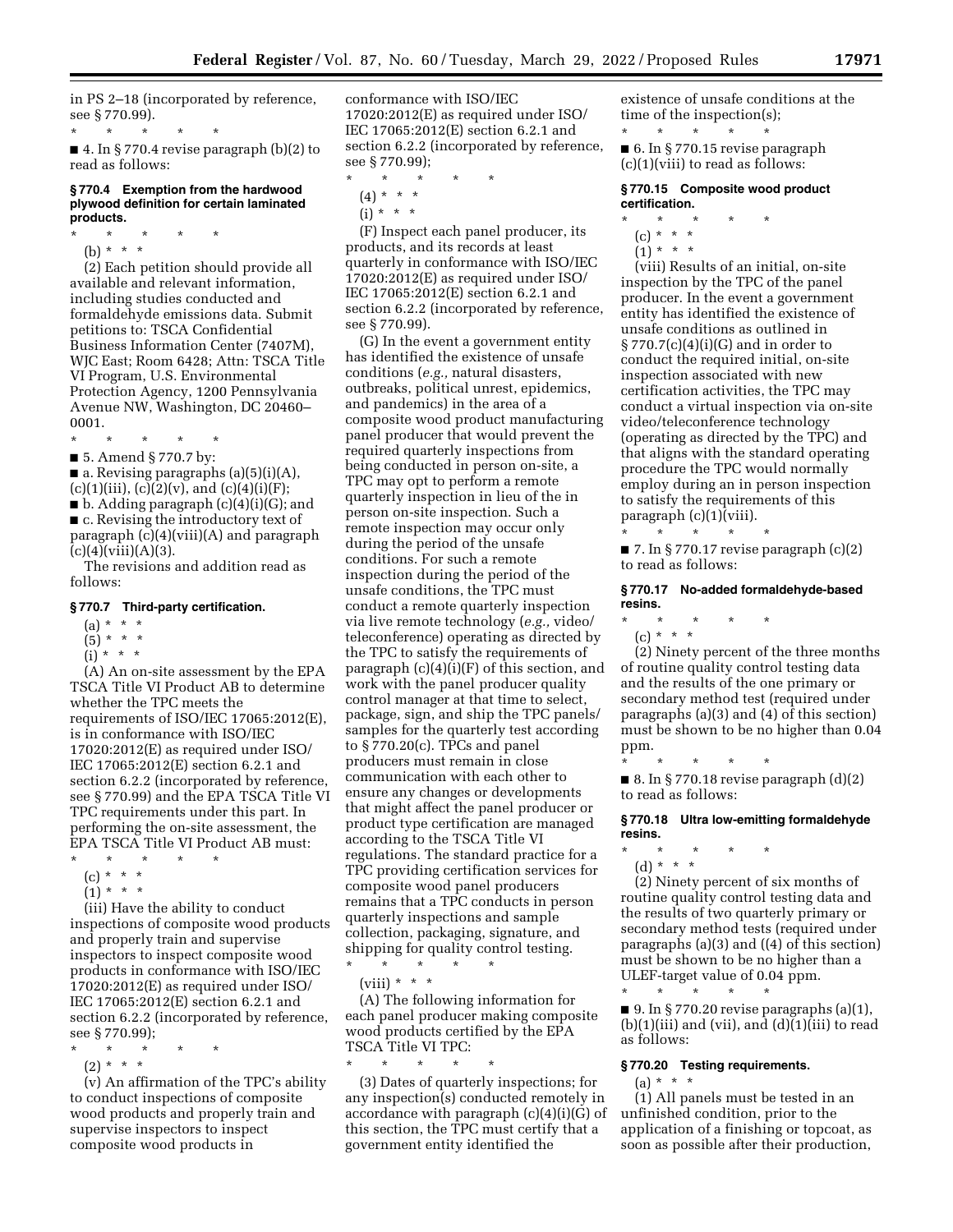in PS 2–18 (incorporated by reference, see § 770.99).

\* \* \* \* \* ■ 4. In § 770.4 revise paragraph (b)(2) to read as follows:

## **§ 770.4 Exemption from the hardwood plywood definition for certain laminated products.**

\* \* \* \* \*

(b) \* \* \* (2) Each petition should provide all

available and relevant information, including studies conducted and formaldehyde emissions data. Submit petitions to: TSCA Confidential Business Information Center (7407M), WJC East; Room 6428; Attn: TSCA Title VI Program, U.S. Environmental Protection Agency, 1200 Pennsylvania Avenue NW, Washington, DC 20460– 0001.

\* \* \* \* \*

■ 5. Amend § 770.7 by:

 $\blacksquare$  a. Revising paragraphs (a)(5)(i)(A),  $(c)(1)(iii)$ ,  $(c)(2)(v)$ , and  $(c)(4)(i)(F)$ ;

 $\blacksquare$  b. Adding paragraph  $(c)(4)(i)(G);$  and ■ c. Revising the introductory text of paragraph (c)(4)(viii)(A) and paragraph  $(c)(4)(viii)(A)(3).$ 

The revisions and addition read as follows:

### **§ 770.7 Third-party certification.**

- $(a) * * * *$
- $(5) * * * *$
- $(i) * * * *$

(A) An on-site assessment by the EPA TSCA Title VI Product AB to determine whether the TPC meets the requirements of ISO/IEC 17065:2012(E), is in conformance with ISO/IEC 17020:2012(E) as required under ISO/ IEC 17065:2012(E) section 6.2.1 and section 6.2.2 (incorporated by reference, see § 770.99) and the EPA TSCA Title VI TPC requirements under this part. In performing the on-site assessment, the EPA TSCA Title VI Product AB must:

- \* \* \* \* \*
	- (c) \* \* \* \*
	- $(1) * * * *$

(iii) Have the ability to conduct inspections of composite wood products and properly train and supervise inspectors to inspect composite wood products in conformance with ISO/IEC 17020:2012(E) as required under ISO/ IEC 17065:2012(E) section 6.2.1 and section 6.2.2 (incorporated by reference, see § 770.99);

- \* \* \* \* \*
- (2) \* \* \*

(v) An affirmation of the TPC's ability to conduct inspections of composite wood products and properly train and supervise inspectors to inspect composite wood products in

conformance with ISO/IEC 17020:2012(E) as required under ISO/ IEC 17065:2012(E) section 6.2.1 and section 6.2.2 (incorporated by reference, see § 770.99);

- \* \* \* \* \*  $(4) * * * *$
- $(i) * * * *$

(F) Inspect each panel producer, its products, and its records at least quarterly in conformance with ISO/IEC 17020:2012(E) as required under ISO/ IEC 17065:2012(E) section 6.2.1 and section 6.2.2 (incorporated by reference, see § 770.99).

(G) In the event a government entity has identified the existence of unsafe conditions (*e.g.,* natural disasters, outbreaks, political unrest, epidemics, and pandemics) in the area of a composite wood product manufacturing panel producer that would prevent the required quarterly inspections from being conducted in person on-site, a TPC may opt to perform a remote quarterly inspection in lieu of the in person on-site inspection. Such a remote inspection may occur only during the period of the unsafe conditions. For such a remote inspection during the period of the unsafe conditions, the TPC must conduct a remote quarterly inspection via live remote technology (*e.g.,* video/ teleconference) operating as directed by the TPC to satisfy the requirements of paragraph (c)(4)(i)(F) of this section, and work with the panel producer quality control manager at that time to select, package, sign, and ship the TPC panels/ samples for the quarterly test according to § 770.20(c). TPCs and panel producers must remain in close communication with each other to ensure any changes or developments that might affect the panel producer or product type certification are managed according to the TSCA Title VI regulations. The standard practice for a TPC providing certification services for composite wood panel producers remains that a TPC conducts in person quarterly inspections and sample collection, packaging, signature, and shipping for quality control testing.

 $\star$   $\qquad$   $\star$   $\qquad$   $\star$ (viii) \* \* \*

(A) The following information for

each panel producer making composite wood products certified by the EPA TSCA Title VI TPC: \* \* \* \* \*

(3) Dates of quarterly inspections; for any inspection(s) conducted remotely in accordance with paragraph (c)(4)(i)(G) of this section, the TPC must certify that a government entity identified the

existence of unsafe conditions at the time of the inspection(s);

\* \* \* \* \* ■ 6. In § 770.15 revise paragraph  $(c)(1)(viii)$  to read as follows:

## **§ 770.15 Composite wood product certification.**

- \* \* \* \* \*
- (c) \* \* \*
- $(1) * * * *$

(viii) Results of an initial, on-site inspection by the TPC of the panel producer. In the event a government entity has identified the existence of unsafe conditions as outlined in § 770.7(c)(4)(i)(G) and in order to conduct the required initial, on-site inspection associated with new certification activities, the TPC may conduct a virtual inspection via on-site video/teleconference technology (operating as directed by the TPC) and that aligns with the standard operating procedure the TPC would normally employ during an in person inspection to satisfy the requirements of this paragraph (c)(1)(viii).

 $\blacksquare$  7. In § 770.17 revise paragraph  $(c)(2)$ to read as follows:

## **§ 770.17 No-added formaldehyde-based resins.**

\* \* \* \* \*

\* \* \* \* \*

(c) \* \* \*

(2) Ninety percent of the three months of routine quality control testing data and the results of the one primary or secondary method test (required under paragraphs (a)(3) and (4) of this section) must be shown to be no higher than 0.04 ppm.

\* \* \* \* \* ■ 8. In § 770.18 revise paragraph  $(d)(2)$ to read as follows:

**§ 770.18 Ultra low-emitting formaldehyde resins.** 

\* \* \* \* \*

(d) \* \* \* (2) Ninety percent of six months of routine quality control testing data and the results of two quarterly primary or secondary method tests (required under paragraphs (a)(3) and ((4) of this section) must be shown to be no higher than a ULEF-target value of 0.04 ppm. \* \* \* \* \*

 $\blacksquare$  9. In § 770.20 revise paragraphs (a)(1),  $(b)(1)(iii)$  and  $(vii)$ , and  $(d)(1)(iii)$  to read as follows:

### **§ 770.20 Testing requirements.**

 $(a) * * * *$ 

(1) All panels must be tested in an unfinished condition, prior to the application of a finishing or topcoat, as soon as possible after their production,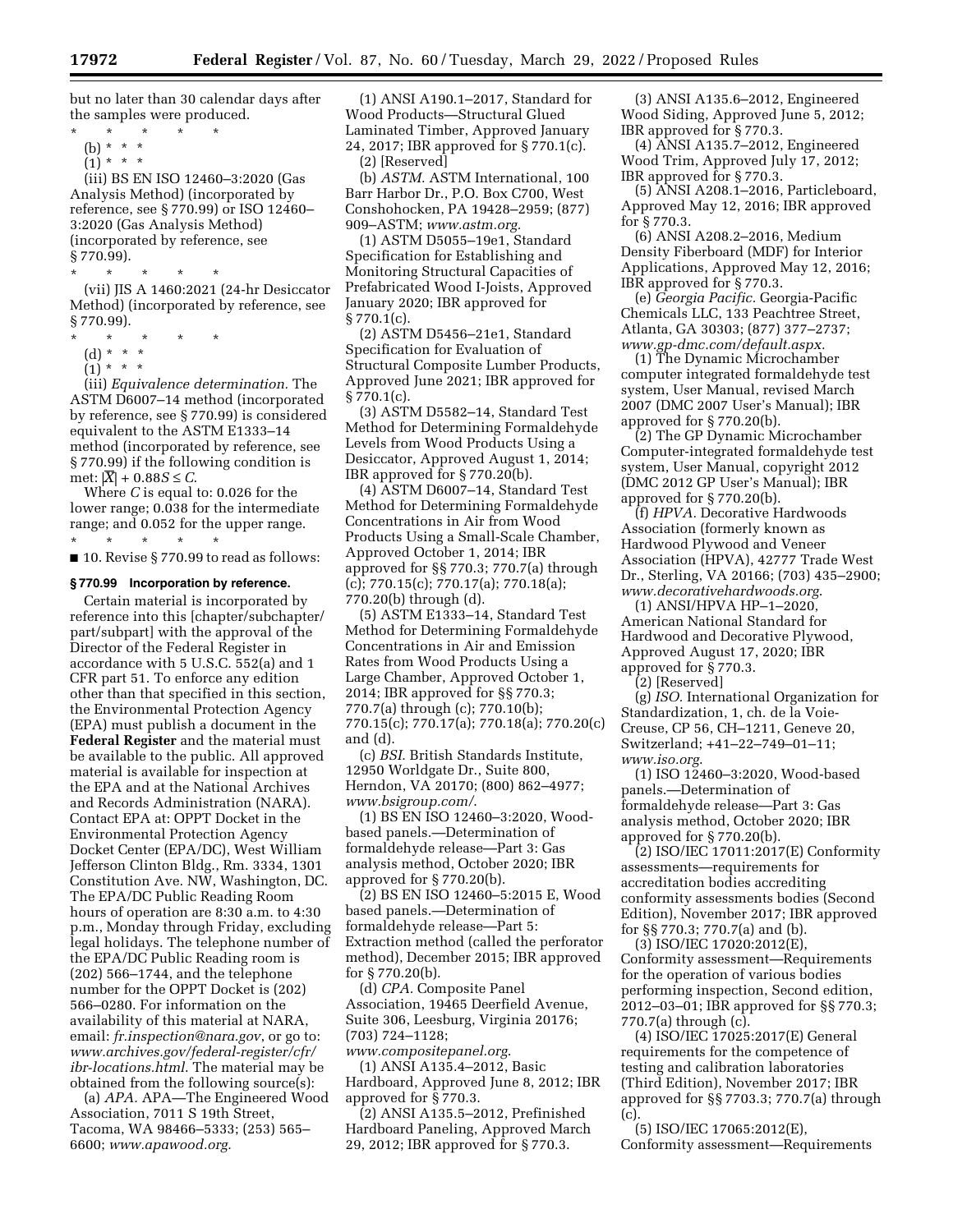but no later than 30 calendar days after the samples were produced.

- \* \* \* \* \* (b) \* \* \*
	- $(1)^*$  \* \* \*

(iii) BS EN ISO 12460–3:2020 (Gas Analysis Method) (incorporated by reference, see § 770.99) or ISO 12460– 3:2020 (Gas Analysis Method) (incorporated by reference, see § 770.99).

- \* \* \* \* \* (vii) JIS A 1460:2021 (24-hr Desiccator Method) (incorporated by reference, see
- § 770.99).
- \* \* \* \* \*
	- (d) \* \* \*  $(1) * * * *$

(iii) *Equivalence determination.* The ASTM D6007–14 method (incorporated by reference, see § 770.99) is considered equivalent to the ASTM E1333–14 method (incorporated by reference, see § 770.99) if the following condition is met: |*X*| + 0.88*S* ≤ *C*.

Where *C* is equal to: 0.026 for the lower range; 0.038 for the intermediate range; and 0.052 for the upper range. \* \* \* \* \*

■ 10. Revise § 770.99 to read as follows:

#### **§ 770.99 Incorporation by reference.**

Certain material is incorporated by reference into this [chapter/subchapter/ part/subpart] with the approval of the Director of the Federal Register in accordance with 5 U.S.C. 552(a) and 1 CFR part 51. To enforce any edition other than that specified in this section, the Environmental Protection Agency (EPA) must publish a document in the **Federal Register** and the material must be available to the public. All approved material is available for inspection at the EPA and at the National Archives and Records Administration (NARA). Contact EPA at: OPPT Docket in the Environmental Protection Agency Docket Center (EPA/DC), West William Jefferson Clinton Bldg., Rm. 3334, 1301 Constitution Ave. NW, Washington, DC. The EPA/DC Public Reading Room hours of operation are 8:30 a.m. to 4:30 p.m., Monday through Friday, excluding legal holidays. The telephone number of the EPA/DC Public Reading room is (202) 566–1744, and the telephone number for the OPPT Docket is (202) 566–0280. For information on the availability of this material at NARA, email: *[fr.inspection@nara.gov](mailto:fr.inspection@nara.gov)*, or go to: *[www.archives.gov/federal-register/cfr/](http://www.archives.gov/federal-register/cfr/ibr-locations.html)  [ibr-locations.html](http://www.archives.gov/federal-register/cfr/ibr-locations.html)*. The material may be obtained from the following source(s):

(a) *APA.* APA—The Engineered Wood Association, 7011 S 19th Street, Tacoma, WA 98466–5333; (253) 565– 6600; *[www.apawood.org.](http://www.apawood.org)* 

(1) ANSI A190.1–2017, Standard for Wood Products—Structural Glued Laminated Timber, Approved January 24, 2017; IBR approved for § 770.1(c). (2) [Reserved]

(b) *ASTM.* ASTM International, 100 Barr Harbor Dr., P.O. Box C700, West Conshohocken, PA 19428–2959; (877) 909–ASTM; *[www.astm.org.](http://www.astm.org)* 

(1) ASTM D5055–19e1, Standard Specification for Establishing and Monitoring Structural Capacities of Prefabricated Wood I-Joists, Approved January 2020; IBR approved for  $\S 770.1(c)$ .

(2) ASTM D5456–21e1, Standard Specification for Evaluation of Structural Composite Lumber Products, Approved June 2021; IBR approved for  $\S 770.1(c)$ .

(3) ASTM D5582–14, Standard Test Method for Determining Formaldehyde Levels from Wood Products Using a Desiccator, Approved August 1, 2014; IBR approved for § 770.20(b).

(4) ASTM D6007–14, Standard Test Method for Determining Formaldehyde Concentrations in Air from Wood Products Using a Small-Scale Chamber, Approved October 1, 2014; IBR approved for §§ 770.3; 770.7(a) through  $(c)$ ; 770.15 $(c)$ ; 770.17 $(a)$ ; 770.18 $(a)$ ; 770.20(b) through (d).

(5) ASTM E1333–14, Standard Test Method for Determining Formaldehyde Concentrations in Air and Emission Rates from Wood Products Using a Large Chamber, Approved October 1, 2014; IBR approved for §§ 770.3; 770.7(a) through (c); 770.10(b); 770.15(c); 770.17(a); 770.18(a); 770.20(c) and (d).

(c) *BSI.* British Standards Institute, 12950 Worldgate Dr., Suite 800, Herndon, VA 20170; (800) 862–4977; *[www.bsigroup.com/](http://www.bsigroup.com/)*.

(1) BS EN ISO 12460–3:2020, Woodbased panels.—Determination of formaldehyde release—Part 3: Gas analysis method, October 2020; IBR approved for § 770.20(b).

(2) BS EN ISO 12460–5:2015 E, Wood based panels.—Determination of formaldehyde release—Part 5: Extraction method (called the perforator method), December 2015; IBR approved for § 770.20(b).

(d) *CPA.* Composite Panel Association, 19465 Deerfield Avenue, Suite 306, Leesburg, Virginia 20176; (703) 724–1128;

*[www.compositepanel.org](http://www.compositepanel.org)*. (1) ANSI A135.4–2012, Basic Hardboard, Approved June 8, 2012; IBR approved for § 770.3.

(2) ANSI A135.5–2012, Prefinished Hardboard Paneling, Approved March 29, 2012; IBR approved for § 770.3.

(3) ANSI A135.6–2012, Engineered Wood Siding, Approved June 5, 2012; IBR approved for § 770.3.

(4) ANSI A135.7–2012, Engineered Wood Trim, Approved July 17, 2012; IBR approved for § 770.3.

(5) ANSI A208.1–2016, Particleboard, Approved May 12, 2016; IBR approved for § 770.3.

(6) ANSI A208.2–2016, Medium Density Fiberboard (MDF) for Interior Applications, Approved May 12, 2016; IBR approved for § 770.3.

(e) *Georgia Pacific.* Georgia-Pacific Chemicals LLC, 133 Peachtree Street, Atlanta, GA 30303; (877) 377–2737; *[www.gp-dmc.com/default.aspx.](http://www.gp-dmc.com/default.aspx)* 

(1) The Dynamic Microchamber computer integrated formaldehyde test system, User Manual, revised March 2007 (DMC 2007 User's Manual); IBR approved for § 770.20(b).

(2) The GP Dynamic Microchamber Computer-integrated formaldehyde test system, User Manual, copyright 2012 (DMC 2012 GP User's Manual); IBR approved for § 770.20(b).

(f) *HPVA.* Decorative Hardwoods Association (formerly known as Hardwood Plywood and Veneer Association (HPVA), 42777 Trade West Dr., Sterling, VA 20166; (703) 435–2900; *[www.decorativehardwoods.org](http://www.decorativehardwoods.org)*.

(1) ANSI/HPVA HP–1–2020, American National Standard for Hardwood and Decorative Plywood, Approved August 17, 2020; IBR approved for § 770.3.

(2) [Reserved]

(g) *ISO.* International Organization for Standardization, 1, ch. de la Voie-Creuse, CP 56, CH–1211, Geneve 20, Switzerland; +41–22–749–01–11; *[www.iso.org](http://www.iso.org)*.

(1) ISO 12460–3:2020, Wood-based panels.—Determination of formaldehyde release—Part 3: Gas analysis method, October 2020; IBR approved for § 770.20(b).

(2) ISO/IEC 17011:2017(E) Conformity assessments—requirements for accreditation bodies accrediting conformity assessments bodies (Second Edition), November 2017; IBR approved for §§ 770.3; 770.7(a) and (b).

(3) ISO/IEC 17020:2012(E), Conformity assessment—Requirements for the operation of various bodies performing inspection, Second edition, 2012–03–01; IBR approved for §§ 770.3; 770.7(a) through (c).

(4) ISO/IEC 17025:2017(E) General requirements for the competence of testing and calibration laboratories (Third Edition), November 2017; IBR approved for §§ 7703.3; 770.7(a) through (c).

(5) ISO/IEC 17065:2012(E), Conformity assessment—Requirements